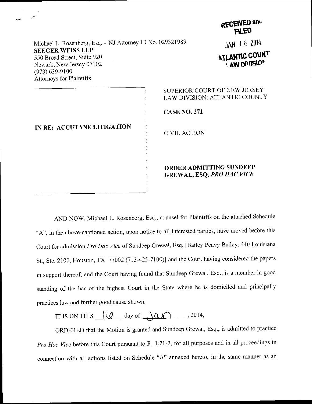|                                                                                                                                             |                                            | RECEIVED and<br><b>FILED</b>                                       |
|---------------------------------------------------------------------------------------------------------------------------------------------|--------------------------------------------|--------------------------------------------------------------------|
| Michael L. Rosenberg, Esq. - NJ Attorney ID No. 029321989                                                                                   |                                            | JAN 16 2014                                                        |
| <b>SEEGER WEISS LLP</b><br>550 Broad Street, Suite 920<br>Newark, New Jersey 07102<br>$(973) 639 - 9100$<br><b>Attorneys for Plaintiffs</b> |                                            | <b>ATLANTIC COUNT</b><br><b>I AW DIVISION</b>                      |
|                                                                                                                                             |                                            | SUPERIOR COURT OF NEW JERSEY<br>LAW DIVISION: ATLANTIC COUNTY      |
| IN RE: ACCUTANE LITIGATION                                                                                                                  | <b>CASE NO. 271</b><br><b>CIVIL ACTION</b> |                                                                    |
|                                                                                                                                             |                                            | <b>ORDER ADMITTING SUNDEEP</b><br><b>GREWAL, ESQ. PRO HAC VICE</b> |

AND NOW, Michael L. Rosenberg, Esq., counsel ior Plaintiffs on the attached schedule "A", in the above-captioned action, upon notice to all interested parties, have moved before this Court for admission Pro Hac Vice of Sundeep Grewal, Esq. [Bailey Peavy Bailey, 440 Louisiana St., Ste. 2100, Houston, TX 77002 (713-425-7100)] and the Court having considered the papers in support thereof; and the court having found that Sundeep Grewal, Esq., is a member in good standing of the bar of the highest court in the state where he is domiciled and principally practices law and further good cause shown,

IT IS ON THIS  $\sqrt{\alpha}$  day of  $\sqrt{\alpha}$ , 2014,

ORDERED that the Motion is granted and Sundeep Grewal, Esq., is admitted to practice Pro Hac Vice before this Court pursuant to R. 1:21-2, for all purposes and in all proceedings in connection with all actions listed on Schedule "A" annexed hereto, in the same manner as an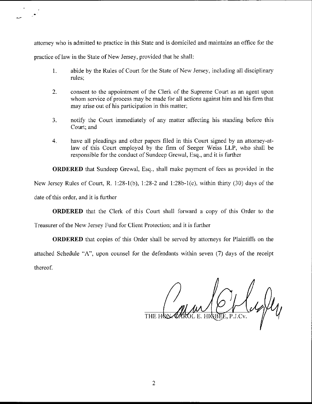attorney who is admitted to practice in this State and is domiciled and maintains an office for the practice of law in the State of New Jersey, provided that he shall:

- 1. abide by the Rules of Court for the State of New Jersey, including all disciplinary rules;
- 2\_ consent to the appointment of the Clerk of the Supreme Court as an agent upon whom service of process may be made for all actions against him and his firm that may arise out of his participation in this matter;
- notify the Court immediately of any matter affecting his standing before this Court; and 3.
- have all pleadings and other papers filed in this Court signed by an attorney-atlaw of this Court employed by the firm of Seeger Weiss LLP, who shall be responsible for the conduct of Sundeep Grewal, Esq., and it is further 4.

**ORDERED** that Sundeep Grewal, Esq., shall make payment of fees as provided in the New Jersey Rules of Court, R. 1:28-1(b), 1:28-2 and 1:28b-1(e), within thirty (30) days of the date of this order, and it is further

ORDERED that the Clerk of this Court shall forward a copy of this Order to the

Treasurer of the New Jersey Fund for Client Protection; and it is further

ORDERED that copies of this Order shall be served by attorneys for Plaintiffs on the attached Schedule "A", upon counsel for the defendants within seven (7) days of the receipt thereof.

P.J.Cv.